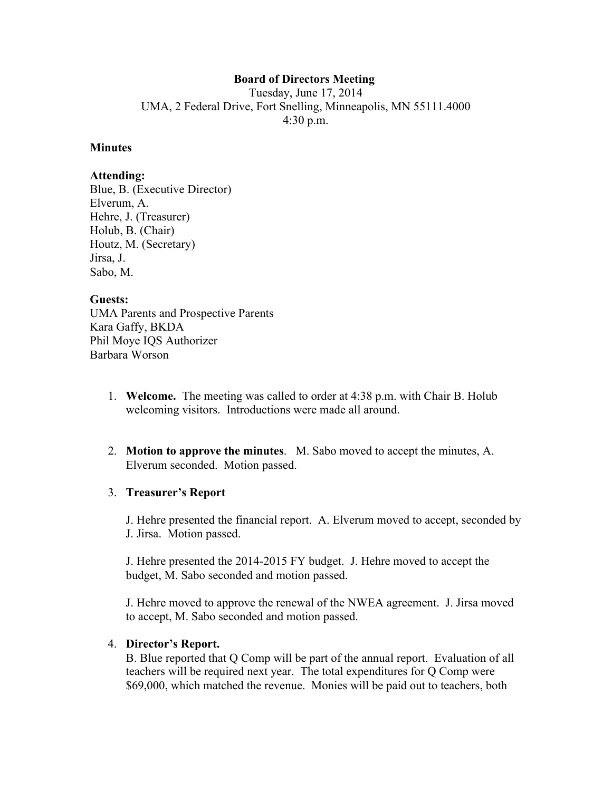# **Board of Directors Meeting**

Tuesday, June 17, 2014 UMA, 2 Federal Drive, Fort Snelling, Minneapolis, MN 55111.4000 4:30 p.m.

#### **Minutes**

### **Attending:**

Blue, B. (Executive Director) Elverum, A. Hehre, J. (Treasurer) Holub, B. (Chair) Houtz, M. (Secretary) Jirsa, J. Sabo, M.

### **Guests:**

UMA Parents and Prospective Parents Kara Gaffy, BKDA Phil Moye IQS Authorizer Barbara Worson

- 1. **Welcome.** The meeting was called to order at 4:38 p.m. with Chair B. Holub welcoming visitors. Introductions were made all around.
- 2. **Motion to approve the minutes**. M. Sabo moved to accept the minutes, A. Elverum seconded. Motion passed.

## 3. **Treasurer's Report**

J. Hehre presented the financial report. A. Elverum moved to accept, seconded by J. Jirsa. Motion passed.

J. Hehre presented the 2014-2015 FY budget. J. Hehre moved to accept the budget, M. Sabo seconded and motion passed.

J. Hehre moved to approve the renewal of the NWEA agreement. J. Jirsa moved to accept, M. Sabo seconded and motion passed.

### 4. **Director's Report.**

B. Blue reported that Q Comp will be part of the annual report. Evaluation of all teachers will be required next year. The total expenditures for Q Comp were \$69,000, which matched the revenue. Monies will be paid out to teachers, both